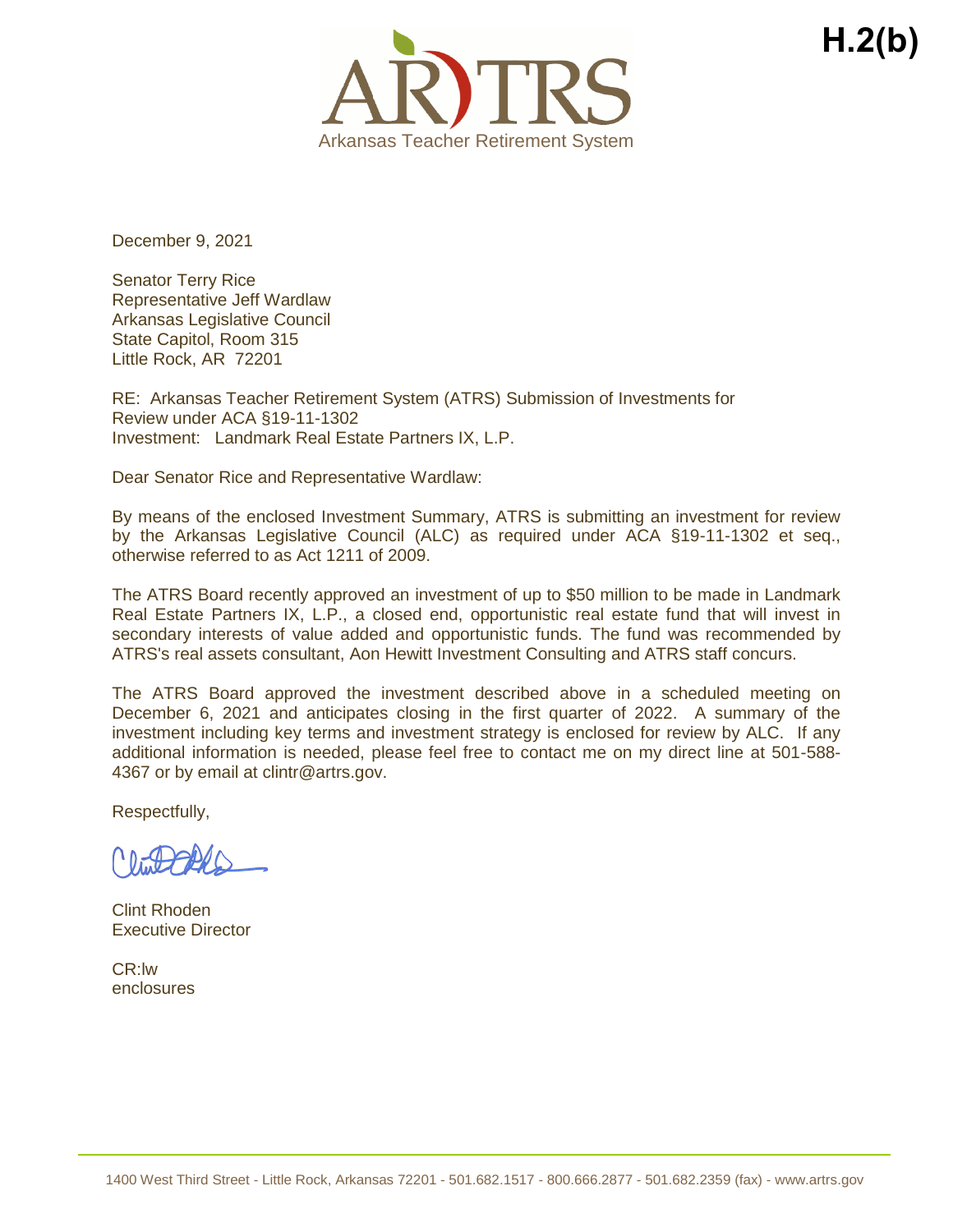

December 9, 2021

Senator Terry Rice Representative Jeff Wardlaw Arkansas Legislative Council State Capitol, Room 315 Little Rock, AR 72201

RE: Arkansas Teacher Retirement System (ATRS) Submission of Investments for Review under ACA §19-11-1302 Investment: Landmark Real Estate Partners IX, L.P.

Dear Senator Rice and Representative Wardlaw:

By means of the enclosed Investment Summary, ATRS is submitting an investment for review by the Arkansas Legislative Council (ALC) as required under ACA §19-11-1302 et seq., otherwise referred to as Act 1211 of 2009.

The ATRS Board recently approved an investment of up to \$50 million to be made in Landmark Real Estate Partners IX, L.P., a closed end, opportunistic real estate fund that will invest in secondary interests of value added and opportunistic funds. The fund was recommended by ATRS's real assets consultant, Aon Hewitt Investment Consulting and ATRS staff concurs.

The ATRS Board approved the investment described above in a scheduled meeting on December 6, 2021 and anticipates closing in the first quarter of 2022. A summary of the investment including key terms and investment strategy is enclosed for review by ALC. If any additional information is needed, please feel free to contact me on my direct line at 501-588- 4367 or by email at clintr@artrs.gov.

Respectfully,

Clint Rhoden Executive Director

CR:lw enclosures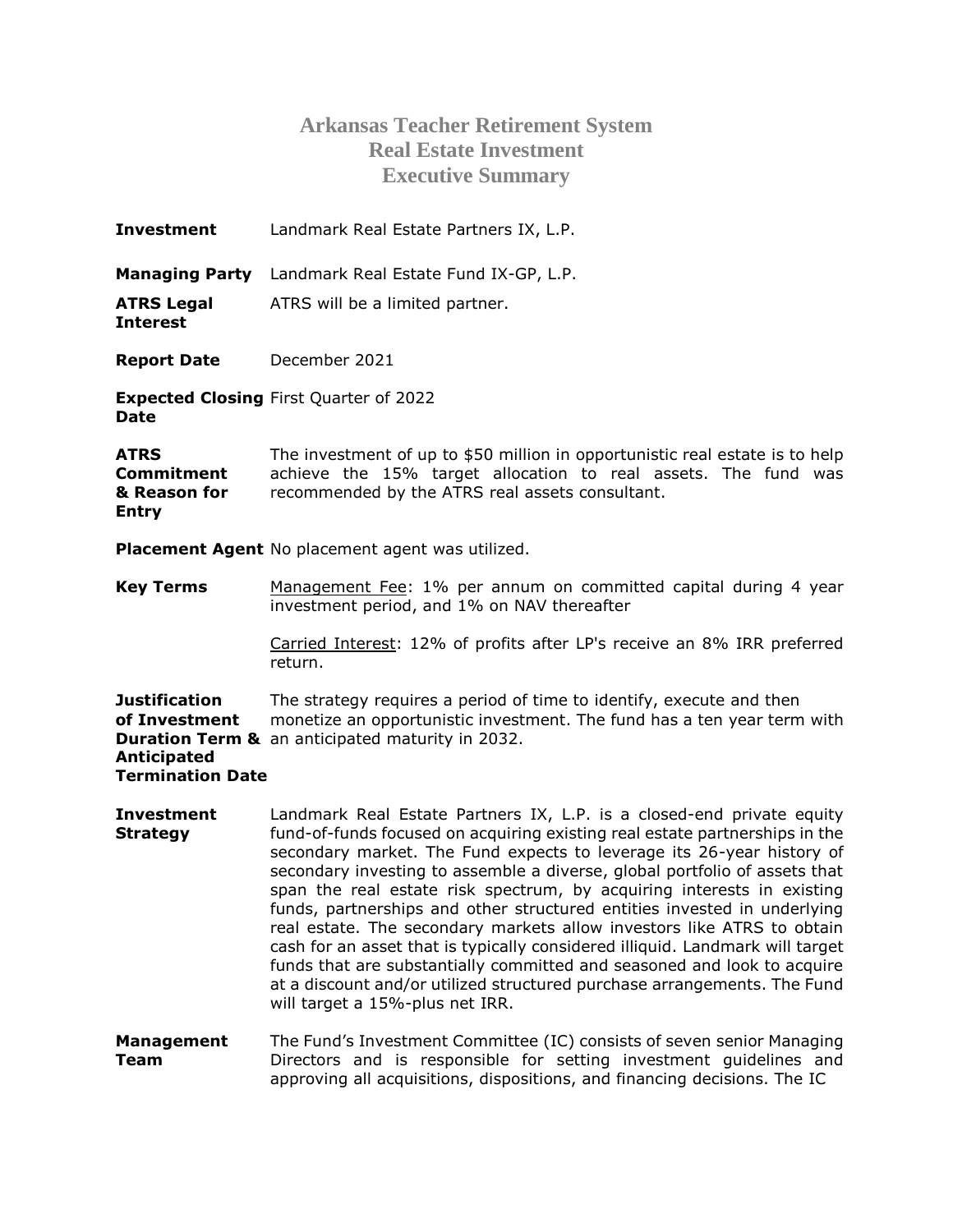## **Arkansas Teacher Retirement System Real Estate Investment Executive Summary**

| Investment                                                                      | Landmark Real Estate Partners IX, L.P.                                                                                                                                                                         |
|---------------------------------------------------------------------------------|----------------------------------------------------------------------------------------------------------------------------------------------------------------------------------------------------------------|
|                                                                                 | Managing Party Landmark Real Estate Fund IX-GP, L.P.                                                                                                                                                           |
| <b>ATRS Legal</b><br>Interest                                                   | ATRS will be a limited partner.                                                                                                                                                                                |
| <b>Report Date</b>                                                              | December 2021                                                                                                                                                                                                  |
| Date                                                                            | <b>Expected Closing First Quarter of 2022</b>                                                                                                                                                                  |
| ATRS<br>Commitment<br>& Reason for<br><b>Entry</b>                              | The investment of up to \$50 million in opportunistic real estate is to help<br>achieve the 15% target allocation to real assets. The fund was<br>recommended by the ATRS real assets consultant.              |
|                                                                                 | <b>Placement Agent</b> No placement agent was utilized.                                                                                                                                                        |
| <b>Key Terms</b>                                                                | Management Fee: 1% per annum on committed capital during 4 year<br>investment period, and 1% on NAV thereafter                                                                                                 |
|                                                                                 | Carried Interest: 12% of profits after LP's receive an 8% IRR preferred<br>return.                                                                                                                             |
| Justification<br>of Investment<br><b>Anticipated</b><br><b>Termination Date</b> | The strategy requires a period of time to identify, execute and then<br>monetize an opportunistic investment. The fund has a ten year term with<br><b>Duration Term &amp;</b> an anticipated maturity in 2032. |

- **Investment Strategy** Landmark Real Estate Partners IX, L.P. is a closed-end private equity fund-of-funds focused on acquiring existing real estate partnerships in the secondary market. The Fund expects to leverage its 26-year history of secondary investing to assemble a diverse, global portfolio of assets that span the real estate risk spectrum, by acquiring interests in existing funds, partnerships and other structured entities invested in underlying real estate. The secondary markets allow investors like ATRS to obtain cash for an asset that is typically considered illiquid. Landmark will target funds that are substantially committed and seasoned and look to acquire at a discount and/or utilized structured purchase arrangements. The Fund will target a 15%-plus net IRR.
- **Management Team** The Fund's Investment Committee (IC) consists of seven senior Managing Directors and is responsible for setting investment guidelines and approving all acquisitions, dispositions, and financing decisions. The IC